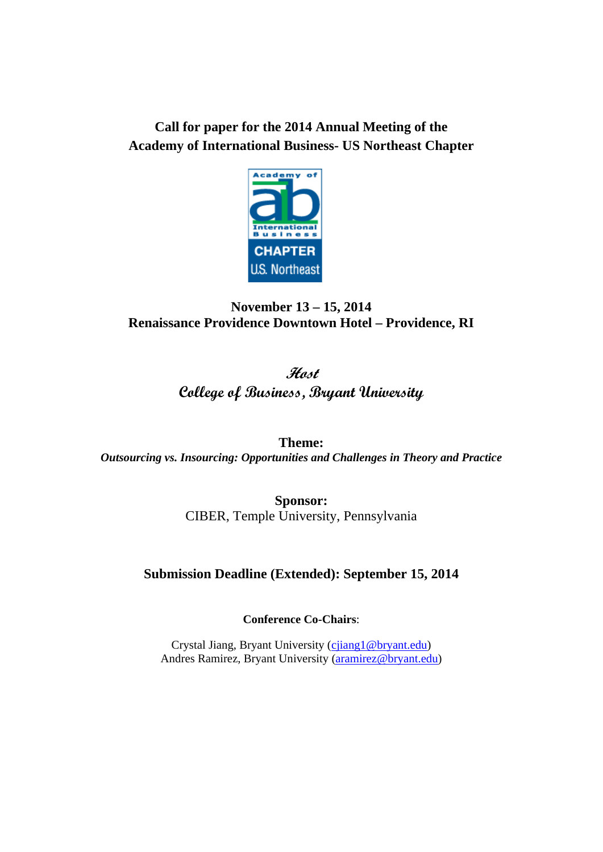# **Call for paper for the 2014 Annual Meeting of the Academy of International Business- US Northeast Chapter**



# **November 13 – 15, 2014 Renaissance Providence Downtown Hotel – Providence, RI**

# **Host College of Business, Bryant University**

**Theme:**  *Outsourcing vs. Insourcing: Opportunities and Challenges in Theory and Practice* 

> **Sponsor:**  CIBER, Temple University, Pennsylvania

# **Submission Deadline (Extended): September 15, 2014**

**Conference Co-Chairs**:

Crystal Jiang, Bryant University (cjiang1@bryant.edu) Andres Ramirez, Bryant University (aramirez@bryant.edu)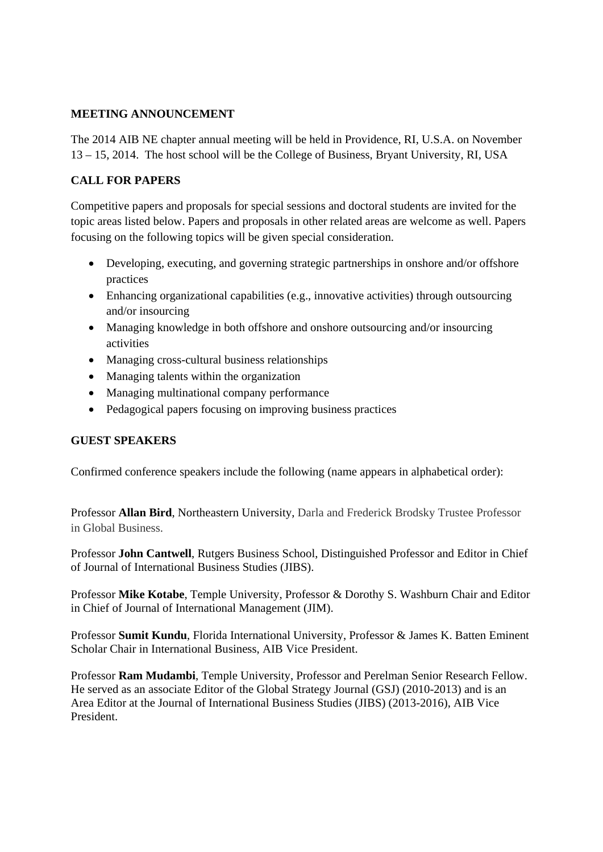# **MEETING ANNOUNCEMENT**

The 2014 AIB NE chapter annual meeting will be held in Providence, RI, U.S.A. on November 13 – 15, 2014. The host school will be the College of Business, Bryant University, RI, USA

# **CALL FOR PAPERS**

Competitive papers and proposals for special sessions and doctoral students are invited for the topic areas listed below. Papers and proposals in other related areas are welcome as well. Papers focusing on the following topics will be given special consideration.

- Developing, executing, and governing strategic partnerships in onshore and/or offshore practices
- Enhancing organizational capabilities (e.g., innovative activities) through outsourcing and/or insourcing
- Managing knowledge in both offshore and onshore outsourcing and/or insourcing activities
- Managing cross-cultural business relationships
- Managing talents within the organization
- Managing multinational company performance
- Pedagogical papers focusing on improving business practices

# **GUEST SPEAKERS**

Confirmed conference speakers include the following (name appears in alphabetical order):

Professor **Allan Bird**, Northeastern University, Darla and Frederick Brodsky Trustee Professor in Global Business.

Professor **John Cantwell**, Rutgers Business School, Distinguished Professor and Editor in Chief of Journal of International Business Studies (JIBS).

Professor **Mike Kotabe**, Temple University, Professor & Dorothy S. Washburn Chair and Editor in Chief of Journal of International Management (JIM).

Professor **Sumit Kundu**, Florida International University, Professor & James K. Batten Eminent Scholar Chair in International Business, AIB Vice President.

Professor **Ram Mudambi**, Temple University, Professor and Perelman Senior Research Fellow. He served as an associate Editor of the Global Strategy Journal (GSJ) (2010-2013) and is an Area Editor at the Journal of International Business Studies (JIBS) (2013-2016), AIB Vice President.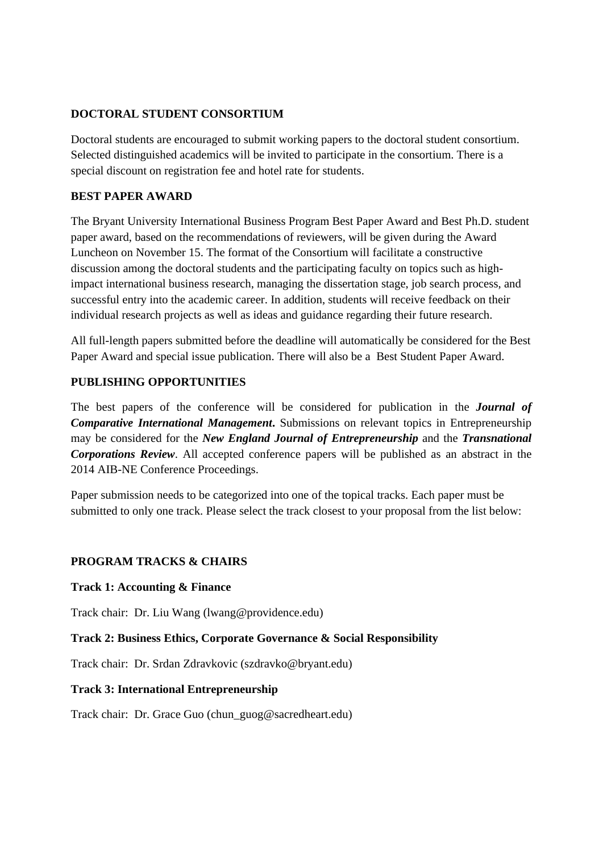### **DOCTORAL STUDENT CONSORTIUM**

Doctoral students are encouraged to submit working papers to the doctoral student consortium. Selected distinguished academics will be invited to participate in the consortium. There is a special discount on registration fee and hotel rate for students.

# **BEST PAPER AWARD**

The Bryant University International Business Program Best Paper Award and Best Ph.D. student paper award, based on the recommendations of reviewers, will be given during the Award Luncheon on November 15. The format of the Consortium will facilitate a constructive discussion among the doctoral students and the participating faculty on topics such as highimpact international business research, managing the dissertation stage, job search process, and successful entry into the academic career. In addition, students will receive feedback on their individual research projects as well as ideas and guidance regarding their future research.

All full-length papers submitted before the deadline will automatically be considered for the Best Paper Award and special issue publication. There will also be a Best Student Paper Award.

# **PUBLISHING OPPORTUNITIES**

The best papers of the conference will be considered for publication in the *Journal of Comparative International Management***.** Submissions on relevant topics in Entrepreneurship may be considered for the *New England Journal of Entrepreneurship* and the *Transnational Corporations Review*. All accepted conference papers will be published as an abstract in the 2014 AIB-NE Conference Proceedings.

Paper submission needs to be categorized into one of the topical tracks. Each paper must be submitted to only one track. Please select the track closest to your proposal from the list below:

# **PROGRAM TRACKS & CHAIRS**

#### **Track 1: Accounting & Finance**

Track chair: Dr. Liu Wang (lwang@providence.edu)

# **Track 2: Business Ethics, Corporate Governance & Social Responsibility**

Track chair: Dr. Srdan Zdravkovic (szdravko@bryant.edu)

#### **Track 3: International Entrepreneurship**

Track chair: Dr. Grace Guo (chun\_guog@sacredheart.edu)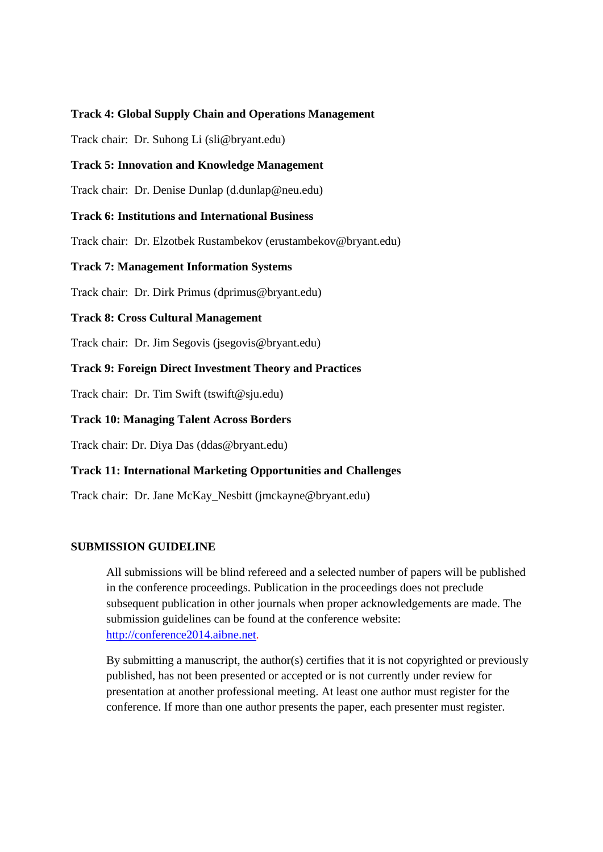#### **Track 4: Global Supply Chain and Operations Management**

Track chair: Dr. Suhong Li (sli@bryant.edu)

#### **Track 5: Innovation and Knowledge Management**

Track chair: Dr. Denise Dunlap (d.dunlap@neu.edu)

#### **Track 6: Institutions and International Business**

Track chair: Dr. Elzotbek Rustambekov (erustambekov@bryant.edu)

#### **Track 7: Management Information Systems**

Track chair: Dr. Dirk Primus (dprimus@bryant.edu)

#### **Track 8: Cross Cultural Management**

Track chair: Dr. Jim Segovis (jsegovis@bryant.edu)

#### **Track 9: Foreign Direct Investment Theory and Practices**

Track chair: Dr. Tim Swift (tswift@sju.edu)

#### **Track 10: Managing Talent Across Borders**

Track chair: Dr. Diya Das (ddas@bryant.edu)

#### **Track 11: International Marketing Opportunities and Challenges**

Track chair: Dr. Jane McKay\_Nesbitt (jmckayne@bryant.edu)

#### **SUBMISSION GUIDELINE**

All submissions will be blind refereed and a selected number of papers will be published in the conference proceedings. Publication in the proceedings does not preclude subsequent publication in other journals when proper acknowledgements are made. The submission guidelines can be found at the conference website: http://conference2014.aibne.net.

By submitting a manuscript, the author(s) certifies that it is not copyrighted or previously published, has not been presented or accepted or is not currently under review for presentation at another professional meeting. At least one author must register for the conference. If more than one author presents the paper, each presenter must register.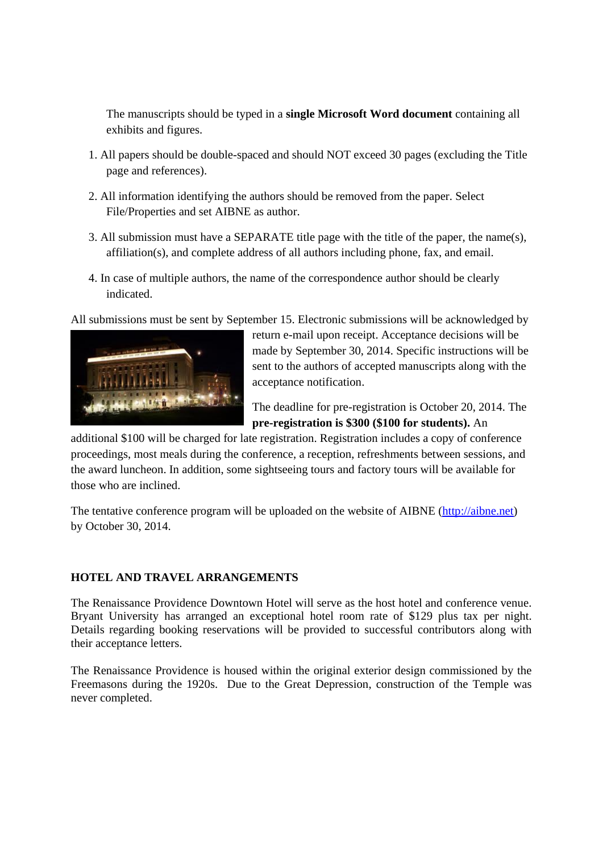The manuscripts should be typed in a **single Microsoft Word document** containing all exhibits and figures.

- 1. All papers should be double-spaced and should NOT exceed 30 pages (excluding the Title page and references).
- 2. All information identifying the authors should be removed from the paper. Select File/Properties and set AIBNE as author.
- 3. All submission must have a SEPARATE title page with the title of the paper, the name(s), affiliation(s), and complete address of all authors including phone, fax, and email.
- 4. In case of multiple authors, the name of the correspondence author should be clearly indicated.

All submissions must be sent by September 15. Electronic submissions will be acknowledged by



return e-mail upon receipt. Acceptance decisions will be made by September 30, 2014. Specific instructions will be sent to the authors of accepted manuscripts along with the acceptance notification.

The deadline for pre-registration is October 20, 2014. The **pre-registration is \$300 (\$100 for students).** An

additional \$100 will be charged for late registration. Registration includes a copy of conference proceedings, most meals during the conference, a reception, refreshments between sessions, and the award luncheon. In addition, some sightseeing tours and factory tours will be available for those who are inclined.

The tentative conference program will be uploaded on the website of AIBNE (http://aibne.net) by October 30, 2014.

# **HOTEL AND TRAVEL ARRANGEMENTS**

The Renaissance Providence Downtown Hotel will serve as the host hotel and conference venue. Bryant University has arranged an exceptional hotel room rate of \$129 plus tax per night. Details regarding booking reservations will be provided to successful contributors along with their acceptance letters.

The Renaissance Providence is housed within the original exterior design commissioned by the Freemasons during the 1920s. Due to the Great Depression, construction of the Temple was never completed.